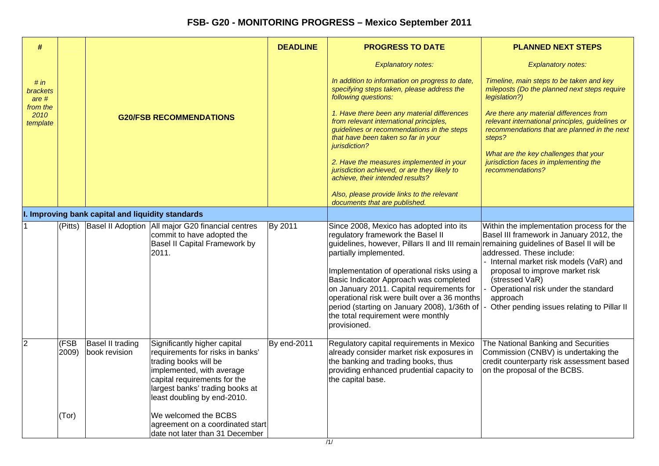| #                            |               |                                                   |                                                                                                                                                                                                                          |             | <b>PROGRESS TO DATE</b>                                                                                                                                                                                                                                                                                                                                                                                                                                                                       | <b>PLANNED NEXT STEPS</b>                                                                                                                                                                                                                                                                                         |
|------------------------------|---------------|---------------------------------------------------|--------------------------------------------------------------------------------------------------------------------------------------------------------------------------------------------------------------------------|-------------|-----------------------------------------------------------------------------------------------------------------------------------------------------------------------------------------------------------------------------------------------------------------------------------------------------------------------------------------------------------------------------------------------------------------------------------------------------------------------------------------------|-------------------------------------------------------------------------------------------------------------------------------------------------------------------------------------------------------------------------------------------------------------------------------------------------------------------|
|                              |               |                                                   |                                                                                                                                                                                                                          |             | <b>Explanatory notes:</b>                                                                                                                                                                                                                                                                                                                                                                                                                                                                     | <b>Explanatory notes:</b>                                                                                                                                                                                                                                                                                         |
| # $in$<br>brackets<br>are #  |               |                                                   |                                                                                                                                                                                                                          |             | In addition to information on progress to date,<br>specifying steps taken, please address the<br>following questions:                                                                                                                                                                                                                                                                                                                                                                         | Timeline, main steps to be taken and key<br>mileposts (Do the planned next steps require<br>legislation?)                                                                                                                                                                                                         |
| from the<br>2010<br>template |               |                                                   | <b>G20/FSB RECOMMENDATIONS</b>                                                                                                                                                                                           |             | 1. Have there been any material differences<br>from relevant international principles,<br>guidelines or recommendations in the steps<br>that have been taken so far in your<br>jurisdiction?                                                                                                                                                                                                                                                                                                  | Are there any material differences from<br>relevant international principles, guidelines or<br>recommendations that are planned in the next<br>steps?                                                                                                                                                             |
|                              |               |                                                   |                                                                                                                                                                                                                          |             | 2. Have the measures implemented in your<br>jurisdiction achieved, or are they likely to<br>achieve, their intended results?                                                                                                                                                                                                                                                                                                                                                                  | What are the key challenges that your<br>jurisdiction faces in implementing the<br>recommendations?                                                                                                                                                                                                               |
|                              |               |                                                   |                                                                                                                                                                                                                          |             | Also, please provide links to the relevant<br>documents that are published.                                                                                                                                                                                                                                                                                                                                                                                                                   |                                                                                                                                                                                                                                                                                                                   |
|                              |               | I. Improving bank capital and liquidity standards |                                                                                                                                                                                                                          |             |                                                                                                                                                                                                                                                                                                                                                                                                                                                                                               |                                                                                                                                                                                                                                                                                                                   |
| 1                            | (Pitts)       |                                                   | Basel II Adoption   All major G20 financial centres<br>commit to have adopted the<br>Basel II Capital Framework by<br>2011.                                                                                              | By 2011     | Since 2008, Mexico has adopted into its<br>regulatory framework the Basel II<br>guidelines, however, Pillars II and III remain remaining guidelines of Basel II will be<br>partially implemented.<br>Implementation of operational risks using a<br>Basic Indicator Approach was completed<br>on January 2011. Capital requirements for<br>operational risk were built over a 36 months<br>period (starting on January 2008), 1/36th of<br>the total requirement were monthly<br>provisioned. | Within the implementation process for the<br>Basel III framework in January 2012, the<br>addressed. These include:<br>Internal market risk models (VaR) and<br>proposal to improve market risk<br>(stressed VaR)<br>Operational risk under the standard<br>approach<br>Other pending issues relating to Pillar II |
| $\overline{2}$               | (FSB<br>2009) | Basel II trading<br>book revision                 | Significantly higher capital<br>requirements for risks in banks'<br>trading books will be<br>implemented, with average<br>capital requirements for the<br>largest banks' trading books at<br>least doubling by end-2010. | By end-2011 | Regulatory capital requirements in Mexico<br>already consider market risk exposures in<br>the banking and trading books, thus<br>providing enhanced prudential capacity to<br>the capital base.                                                                                                                                                                                                                                                                                               | The National Banking and Securities<br>Commission (CNBV) is undertaking the<br>credit counterparty risk assessment based<br>on the proposal of the BCBS.                                                                                                                                                          |
|                              | (Tor)         |                                                   | We welcomed the BCBS<br>agreement on a coordinated start<br>date not later than 31 December                                                                                                                              |             |                                                                                                                                                                                                                                                                                                                                                                                                                                                                                               |                                                                                                                                                                                                                                                                                                                   |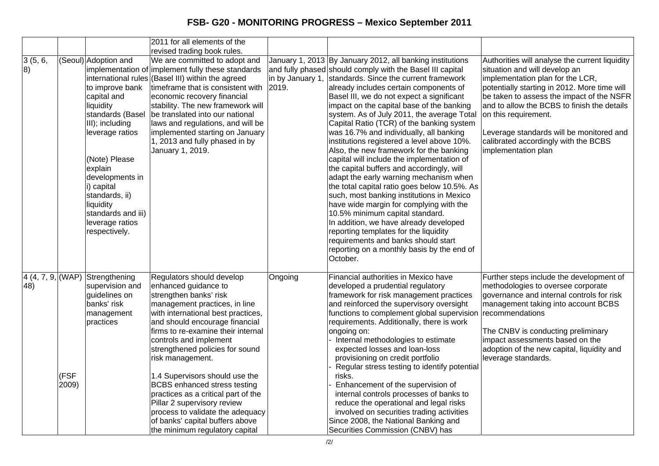|                          |               |                                                                                                                                                                                                                                                                                     | 2011 for all elements of the                                                                                                                                                                                                                                                                                                                                                                                                                                                                                                                                        |         |                                                                                                                                                                                                                                                                                                                                                                                                                                                                                                                                                                                                                                                                                                                                                                                                                                                                                                                                                                                                                                                           |                                                                                                                                                                                                                                                                                                                                                                                                    |
|--------------------------|---------------|-------------------------------------------------------------------------------------------------------------------------------------------------------------------------------------------------------------------------------------------------------------------------------------|---------------------------------------------------------------------------------------------------------------------------------------------------------------------------------------------------------------------------------------------------------------------------------------------------------------------------------------------------------------------------------------------------------------------------------------------------------------------------------------------------------------------------------------------------------------------|---------|-----------------------------------------------------------------------------------------------------------------------------------------------------------------------------------------------------------------------------------------------------------------------------------------------------------------------------------------------------------------------------------------------------------------------------------------------------------------------------------------------------------------------------------------------------------------------------------------------------------------------------------------------------------------------------------------------------------------------------------------------------------------------------------------------------------------------------------------------------------------------------------------------------------------------------------------------------------------------------------------------------------------------------------------------------------|----------------------------------------------------------------------------------------------------------------------------------------------------------------------------------------------------------------------------------------------------------------------------------------------------------------------------------------------------------------------------------------------------|
|                          |               |                                                                                                                                                                                                                                                                                     | revised trading book rules.                                                                                                                                                                                                                                                                                                                                                                                                                                                                                                                                         |         |                                                                                                                                                                                                                                                                                                                                                                                                                                                                                                                                                                                                                                                                                                                                                                                                                                                                                                                                                                                                                                                           |                                                                                                                                                                                                                                                                                                                                                                                                    |
| 3(5, 6,<br>8)            |               | (Seoul) Adoption and<br>to improve bank<br>capital and<br>liquidity<br>standards (Basel<br>III); including<br>leverage ratios<br>(Note) Please<br>explain<br>developments in<br>i) capital<br>standards, ii)<br>liquidity<br>standards and iii)<br>leverage ratios<br>respectively. | We are committed to adopt and<br>implementation of implement fully these standards<br>international rules (Basel III) within the agreed<br>timeframe that is consistent with<br>economic recovery financial<br>stability. The new framework will<br>be translated into our national<br>laws and regulations, and will be<br>implemented starting on January<br>1, 2013 and fully phased in by<br>January 1, 2019.                                                                                                                                                   | 2019.   | January 1, 2013 By January 2012, all banking institutions<br>and fully phased should comply with the Basel III capital<br>in by January 1, standards. Since the current framework<br>already includes certain components of<br>Basel III, we do not expect a significant<br>impact on the capital base of the banking<br>system. As of July 2011, the average Total<br>Capital Ratio (TCR) of the banking system<br>was 16.7% and individually, all banking<br>institutions registered a level above 10%.<br>Also, the new framework for the banking<br>capital will include the implementation of<br>the capital buffers and accordingly, will<br>adapt the early warning mechanism when<br>the total capital ratio goes below 10.5%. As<br>such, most banking institutions in Mexico<br>have wide margin for complying with the<br>10.5% minimum capital standard.<br>In addition, we have already developed<br>reporting templates for the liquidity<br>requirements and banks should start<br>reporting on a monthly basis by the end of<br>lOctober. | Authorities will analyse the current liquidity<br>situation and will develop an<br>implementation plan for the LCR,<br>potentially starting in 2012. More time will<br>be taken to assess the impact of the NSFR<br>and to allow the BCBS to finish the details<br>on this requirement.<br>Leverage standards will be monitored and<br>calibrated accordingly with the BCBS<br>implementation plan |
| 4(4, 7, 9,  (WAP)<br>48) | (FSF<br>2009) | Strengthening<br>supervision and<br>guidelines on<br>banks' risk<br>management<br>practices                                                                                                                                                                                         | Regulators should develop<br>enhanced guidance to<br>strengthen banks' risk<br>management practices, in line<br>with international best practices,<br>and should encourage financial<br>firms to re-examine their internal<br>controls and implement<br>strengthened policies for sound<br>risk management.<br>1.4 Supervisors should use the<br><b>BCBS</b> enhanced stress testing<br>practices as a critical part of the<br>Pillar 2 supervisory review<br>process to validate the adequacy<br>of banks' capital buffers above<br>the minimum regulatory capital | Ongoing | Financial authorities in Mexico have<br>developed a prudential regulatory<br>framework for risk management practices<br>and reinforced the supervisory oversight<br>functions to complement global supervision recommendations<br>requirements. Additionally, there is work<br>ongoing on:<br>Internal methodologies to estimate<br>expected losses and loan-loss<br>provisioning on credit portfolio<br>Regular stress testing to identify potential<br>risks.<br>Enhancement of the supervision of<br>internal controls processes of banks to<br>reduce the operational and legal risks<br>involved on securities trading activities<br>Since 2008, the National Banking and<br>Securities Commission (CNBV) has                                                                                                                                                                                                                                                                                                                                        | Further steps include the development of<br>methodologies to oversee corporate<br>governance and internal controls for risk<br>management taking into account BCBS<br>The CNBV is conducting preliminary<br>impact assessments based on the<br>adoption of the new capital, liquidity and<br>leverage standards.                                                                                   |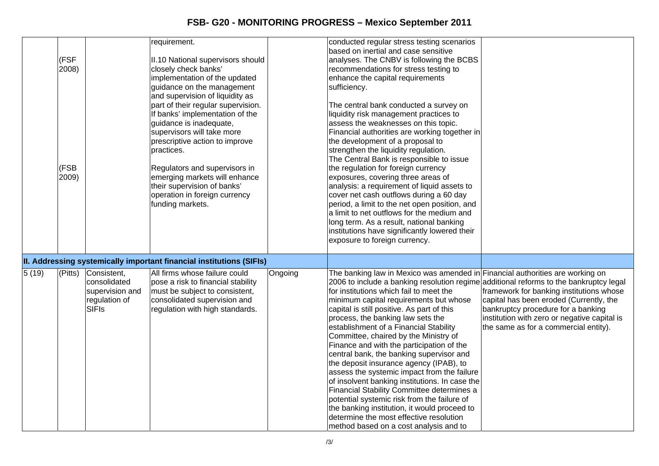|       |         |                 | requirement.                                                         |         | conducted regular stress testing scenarios                                             |                                              |
|-------|---------|-----------------|----------------------------------------------------------------------|---------|----------------------------------------------------------------------------------------|----------------------------------------------|
|       |         |                 |                                                                      |         | based on inertial and case sensitive                                                   |                                              |
|       | (FSF    |                 | II.10 National supervisors should                                    |         | analyses. The CNBV is following the BCBS                                               |                                              |
|       | 2008)   |                 | closely check banks'                                                 |         | recommendations for stress testing to                                                  |                                              |
|       |         |                 | implementation of the updated                                        |         | enhance the capital requirements                                                       |                                              |
|       |         |                 | guidance on the management                                           |         | sufficiency.                                                                           |                                              |
|       |         |                 | and supervision of liquidity as                                      |         |                                                                                        |                                              |
|       |         |                 | part of their regular supervision.                                   |         | The central bank conducted a survey on                                                 |                                              |
|       |         |                 | If banks' implementation of the                                      |         | liquidity risk management practices to                                                 |                                              |
|       |         |                 | guidance is inadequate,                                              |         | assess the weaknesses on this topic.                                                   |                                              |
|       |         |                 | supervisors will take more                                           |         | Financial authorities are working together in                                          |                                              |
|       |         |                 | prescriptive action to improve                                       |         | the development of a proposal to                                                       |                                              |
|       |         |                 | practices.                                                           |         | strengthen the liquidity regulation.                                                   |                                              |
|       |         |                 |                                                                      |         | The Central Bank is responsible to issue                                               |                                              |
|       | (FSB    |                 | Regulators and supervisors in                                        |         | the regulation for foreign currency                                                    |                                              |
|       | 2009)   |                 | emerging markets will enhance<br>their supervision of banks'         |         | exposures, covering three areas of<br>analysis: a requirement of liquid assets to      |                                              |
|       |         |                 | operation in foreign currency                                        |         | cover net cash outflows during a 60 day                                                |                                              |
|       |         |                 | funding markets.                                                     |         | period, a limit to the net open position, and                                          |                                              |
|       |         |                 |                                                                      |         | a limit to net outflows for the medium and                                             |                                              |
|       |         |                 |                                                                      |         | long term. As a result, national banking                                               |                                              |
|       |         |                 |                                                                      |         | institutions have significantly lowered their                                          |                                              |
|       |         |                 |                                                                      |         | exposure to foreign currency.                                                          |                                              |
|       |         |                 |                                                                      |         |                                                                                        |                                              |
|       |         |                 | II. Addressing systemically important financial institutions (SIFIs) |         |                                                                                        |                                              |
| 5(19) | (Pitts) | Consistent,     | All firms whose failure could                                        | Ongoing | The banking law in Mexico was amended in Financial authorities are working on          |                                              |
|       |         | consolidated    | pose a risk to financial stability                                   |         | 2006 to include a banking resolution regime additional reforms to the bankruptcy legal |                                              |
|       |         | supervision and | must be subject to consistent,                                       |         | for institutions which fail to meet the                                                | framework for banking institutions whose     |
|       |         | regulation of   | consolidated supervision and                                         |         | minimum capital requirements but whose                                                 | capital has been eroded (Currently, the      |
|       |         | <b>SIFIs</b>    | regulation with high standards.                                      |         | capital is still positive. As part of this                                             | bankruptcy procedure for a banking           |
|       |         |                 |                                                                      |         | process, the banking law sets the                                                      | institution with zero or negative capital is |
|       |         |                 |                                                                      |         | establishment of a Financial Stability                                                 | the same as for a commercial entity).        |
|       |         |                 |                                                                      |         | Committee, chaired by the Ministry of                                                  |                                              |
|       |         |                 |                                                                      |         | Finance and with the participation of the                                              |                                              |
|       |         |                 |                                                                      |         | central bank, the banking supervisor and                                               |                                              |
|       |         |                 |                                                                      |         | the deposit insurance agency (IPAB), to                                                |                                              |
|       |         |                 |                                                                      |         | assess the systemic impact from the failure                                            |                                              |
|       |         |                 |                                                                      |         | of insolvent banking institutions. In case the                                         |                                              |
|       |         |                 |                                                                      |         | Financial Stability Committee determines a                                             |                                              |
|       |         |                 |                                                                      |         | potential systemic risk from the failure of                                            |                                              |
|       |         |                 |                                                                      |         | the banking institution, it would proceed to                                           |                                              |
|       |         |                 |                                                                      |         | determine the most effective resolution                                                |                                              |
|       |         |                 |                                                                      |         | method based on a cost analysis and to                                                 |                                              |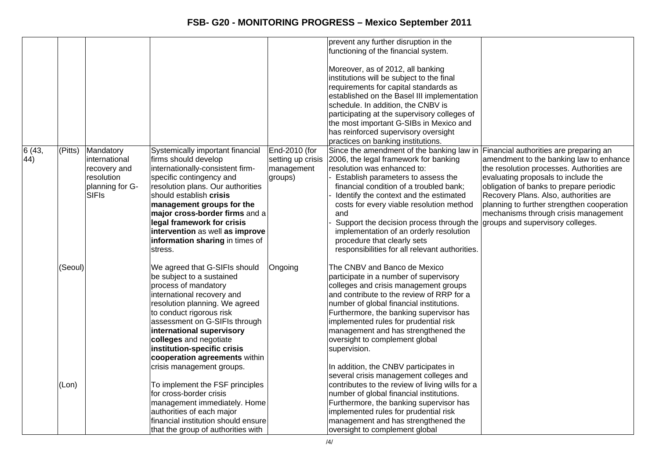|              |         |                                                                                              |                                                                                                                                                                                                                                                                                                                                                                        |                                                             | prevent any further disruption in the<br>functioning of the financial system.<br>Moreover, as of 2012, all banking<br>institutions will be subject to the final<br>requirements for capital standards as<br>established on the Basel III implementation<br>schedule. In addition, the CNBV is<br>participating at the supervisory colleges of<br>the most important G-SIBs in Mexico and<br>has reinforced supervisory oversight<br>practices on banking institutions.  |                                                                                                                                                                                                                                                                                                                                                                                     |
|--------------|---------|----------------------------------------------------------------------------------------------|------------------------------------------------------------------------------------------------------------------------------------------------------------------------------------------------------------------------------------------------------------------------------------------------------------------------------------------------------------------------|-------------------------------------------------------------|-------------------------------------------------------------------------------------------------------------------------------------------------------------------------------------------------------------------------------------------------------------------------------------------------------------------------------------------------------------------------------------------------------------------------------------------------------------------------|-------------------------------------------------------------------------------------------------------------------------------------------------------------------------------------------------------------------------------------------------------------------------------------------------------------------------------------------------------------------------------------|
| 6(43,<br>44) | (Pitts) | Mandatory<br>linternational<br>recovery and<br>resolution<br>planning for G-<br><b>SIFIs</b> | Systemically important financial<br>firms should develop<br>internationally-consistent firm-<br>specific contingency and<br>resolution plans. Our authorities<br>should establish crisis<br>management groups for the<br>major cross-border firms and a<br>legal framework for crisis<br>intervention as well as improve<br>information sharing in times of<br>stress. | End-2010 (for<br>setting up crisis<br>management<br>groups) | Since the amendment of the banking law in<br>2006, the legal framework for banking<br>resolution was enhanced to:<br>Establish parameters to assess the<br>financial condition of a troubled bank;<br>Identify the context and the estimated<br>costs for every viable resolution method<br>and<br>Support the decision process through the<br>implementation of an orderly resolution<br>procedure that clearly sets<br>responsibilities for all relevant authorities. | Financial authorities are preparing an<br>amendment to the banking law to enhance<br>the resolution processes. Authorities are<br>evaluating proposals to include the<br>obligation of banks to prepare periodic<br>Recovery Plans. Also, authorities are<br>planning to further strengthen cooperation<br>mechanisms through crisis management<br>groups and supervisory colleges. |
|              | (Seoul) |                                                                                              | We agreed that G-SIFIs should<br>be subject to a sustained<br>process of mandatory<br>international recovery and<br>resolution planning. We agreed<br>to conduct rigorous risk<br>assessment on G-SIFIs through<br>international supervisory<br>colleges and negotiate<br>institution-specific crisis<br>cooperation agreements within<br>crisis management groups.    | Ongoing                                                     | The CNBV and Banco de Mexico<br>participate in a number of supervisory<br>colleges and crisis management groups<br>and contribute to the review of RRP for a<br>number of global financial institutions.<br>Furthermore, the banking supervisor has<br>implemented rules for prudential risk<br>management and has strengthened the<br>oversight to complement global<br>supervision.<br>In addition, the CNBV participates in                                          |                                                                                                                                                                                                                                                                                                                                                                                     |
|              | (Lon)   |                                                                                              | To implement the FSF principles<br>for cross-border crisis<br>management immediately. Home<br>authorities of each major<br>financial institution should ensure<br>that the group of authorities with                                                                                                                                                                   |                                                             | several crisis management colleges and<br>contributes to the review of living wills for a<br>number of global financial institutions.<br>Furthermore, the banking supervisor has<br>implemented rules for prudential risk<br>management and has strengthened the<br>oversight to complement global                                                                                                                                                                      |                                                                                                                                                                                                                                                                                                                                                                                     |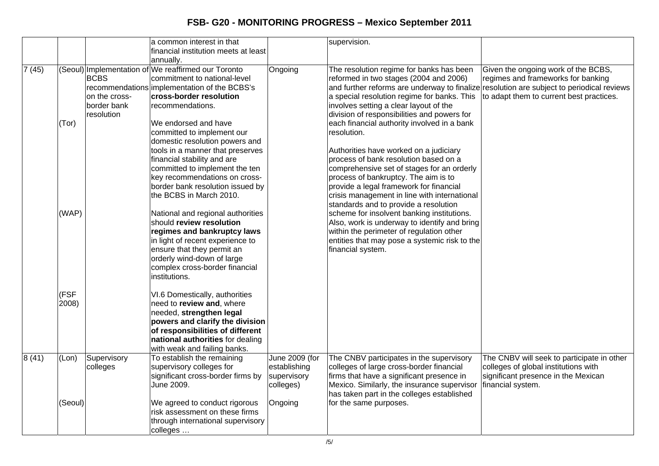|       |               |                                                           | a common interest in that<br>financial institution meets at least                                                                                                                                                                                                 |                                                            | supervision.                                                                                                                                                                                                                                                                                                                                                           |                                                                                                                                                |
|-------|---------------|-----------------------------------------------------------|-------------------------------------------------------------------------------------------------------------------------------------------------------------------------------------------------------------------------------------------------------------------|------------------------------------------------------------|------------------------------------------------------------------------------------------------------------------------------------------------------------------------------------------------------------------------------------------------------------------------------------------------------------------------------------------------------------------------|------------------------------------------------------------------------------------------------------------------------------------------------|
|       |               |                                                           | annually.                                                                                                                                                                                                                                                         |                                                            |                                                                                                                                                                                                                                                                                                                                                                        |                                                                                                                                                |
| 7(45) | (Tor)         | <b>BCBS</b><br>on the cross-<br>border bank<br>resolution | (Seoul) Implementation of We reaffirmed our Toronto<br>commitment to national-level<br>recommendations implementation of the BCBS's<br>cross-border resolution<br>recommendations.<br>We endorsed and have                                                        | Ongoing                                                    | The resolution regime for banks has been<br>reformed in two stages (2004 and 2006)<br>and further reforms are underway to finalize resolution are subject to periodical reviews<br>a special resolution regime for banks. This<br>involves setting a clear layout of the<br>division of responsibilities and powers for<br>each financial authority involved in a bank | Given the ongoing work of the BCBS,<br>regimes and frameworks for banking<br>to adapt them to current best practices.                          |
|       |               |                                                           | committed to implement our<br>domestic resolution powers and<br>tools in a manner that preserves<br>financial stability and are<br>committed to implement the ten<br>key recommendations on cross-<br>border bank resolution issued by<br>the BCBS in March 2010. |                                                            | resolution.<br>Authorities have worked on a judiciary<br>process of bank resolution based on a<br>comprehensive set of stages for an orderly<br>process of bankruptcy. The aim is to<br>provide a legal framework for financial<br>crisis management in line with international<br>standards and to provide a resolution                                               |                                                                                                                                                |
|       | (WAP)         |                                                           | National and regional authorities<br>should review resolution<br>regimes and bankruptcy laws<br>in light of recent experience to<br>ensure that they permit an<br>orderly wind-down of large<br>complex cross-border financial<br>institutions.                   |                                                            | scheme for insolvent banking institutions.<br>Also, work is underway to identify and bring<br>within the perimeter of regulation other<br>entities that may pose a systemic risk to the<br>financial system.                                                                                                                                                           |                                                                                                                                                |
|       | (FSF<br>2008) |                                                           | VI.6 Domestically, authorities<br>need to review and, where<br>needed, strengthen legal<br>powers and clarify the division<br>of responsibilities of different<br>national authorities for dealing<br>with weak and failing banks.                                |                                                            |                                                                                                                                                                                                                                                                                                                                                                        |                                                                                                                                                |
| 8(41) | (Lon)         | Supervisory<br>colleges                                   | To establish the remaining<br>supervisory colleges for<br>significant cross-border firms by<br>June 2009.                                                                                                                                                         | June 2009 (for<br>establishing<br>supervisory<br>colleges) | The CNBV participates in the supervisory<br>colleges of large cross-border financial<br>firms that have a significant presence in<br>Mexico. Similarly, the insurance supervisor<br>has taken part in the colleges established                                                                                                                                         | The CNBV will seek to participate in other<br>colleges of global institutions with<br>significant presence in the Mexican<br>financial system. |
|       | (Seoul)       |                                                           | We agreed to conduct rigorous<br>risk assessment on these firms<br>through international supervisory<br>colleges                                                                                                                                                  | Ongoing                                                    | for the same purposes.                                                                                                                                                                                                                                                                                                                                                 |                                                                                                                                                |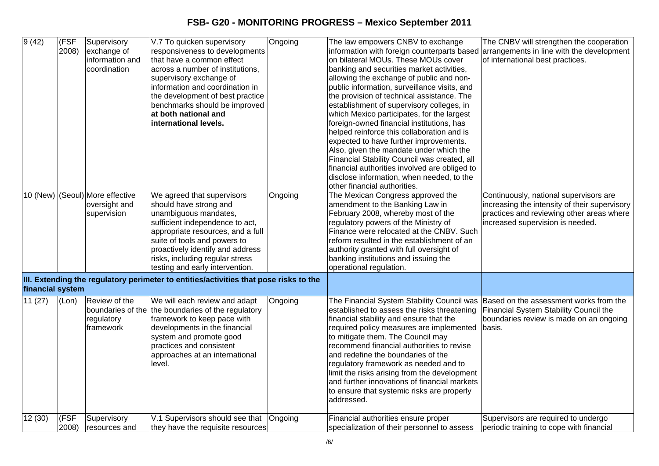| 9(42)            | (FSF<br>2008) | Supervisory<br>exchange of<br>information and<br>coordination   | V.7 To quicken supervisory<br>responsiveness to developments<br>that have a common effect<br>across a number of institutions,<br>supervisory exchange of<br>information and coordination in<br>the development of best practice<br>benchmarks should be improved<br>at both national and<br>international levels. | Ongoing | The law empowers CNBV to exchange<br>information with foreign counterparts based arrangements in line with the development<br>on bilateral MOUs. These MOUs cover<br>banking and securities market activities,<br>allowing the exchange of public and non-<br>public information, surveillance visits, and<br>the provision of technical assistance. The<br>establishment of supervisory colleges, in<br>which Mexico participates, for the largest<br>foreign-owned financial institutions, has<br>helped reinforce this collaboration and is<br>expected to have further improvements.<br>Also, given the mandate under which the<br>Financial Stability Council was created, all<br>financial authorities involved are obliged to<br>disclose information, when needed, to the<br>other financial authorities. | The CNBV will strengthen the cooperation<br>of international best practices.                                                                                             |
|------------------|---------------|-----------------------------------------------------------------|-------------------------------------------------------------------------------------------------------------------------------------------------------------------------------------------------------------------------------------------------------------------------------------------------------------------|---------|-------------------------------------------------------------------------------------------------------------------------------------------------------------------------------------------------------------------------------------------------------------------------------------------------------------------------------------------------------------------------------------------------------------------------------------------------------------------------------------------------------------------------------------------------------------------------------------------------------------------------------------------------------------------------------------------------------------------------------------------------------------------------------------------------------------------|--------------------------------------------------------------------------------------------------------------------------------------------------------------------------|
|                  |               | 10 (New) (Seoul) More effective<br>oversight and<br>supervision | We agreed that supervisors<br>should have strong and<br>unambiguous mandates,<br>sufficient independence to act,<br>appropriate resources, and a full<br>suite of tools and powers to<br>proactively identify and address<br>risks, including regular stress<br>testing and early intervention.                   | Ongoing | The Mexican Congress approved the<br>amendment to the Banking Law in<br>February 2008, whereby most of the<br>regulatory powers of the Ministry of<br>Finance were relocated at the CNBV. Such<br>reform resulted in the establishment of an<br>authority granted with full oversight of<br>banking institutions and issuing the<br>operational regulation.                                                                                                                                                                                                                                                                                                                                                                                                                                                       | Continuously, national supervisors are<br>increasing the intensity of their supervisory<br>practices and reviewing other areas where<br>increased supervision is needed. |
| financial system |               |                                                                 | III. Extending the regulatory perimeter to entities/activities that pose risks to the                                                                                                                                                                                                                             |         |                                                                                                                                                                                                                                                                                                                                                                                                                                                                                                                                                                                                                                                                                                                                                                                                                   |                                                                                                                                                                          |
| 11(27)           | (Lon)         | Review of the<br>regulatory<br>framework                        | We will each review and adapt<br>boundaries of the the boundaries of the regulatory<br>framework to keep pace with<br>developments in the financial<br>system and promote good<br>practices and consistent<br>approaches at an international<br>level.                                                            | Ongoing | The Financial System Stability Council was Based on the assessment works from the<br>established to assess the risks threatening<br>financial stability and ensure that the<br>required policy measures are implemented<br>to mitigate them. The Council may<br>recommend financial authorities to revise<br>and redefine the boundaries of the<br>regulatory framework as needed and to<br>limit the risks arising from the development<br>and further innovations of financial markets<br>to ensure that systemic risks are properly<br>addressed.                                                                                                                                                                                                                                                              | Financial System Stability Council the<br>boundaries review is made on an ongoing<br>basis.                                                                              |
| 12(30)           | (FSF<br>2008) | Supervisory<br>resources and                                    | V.1 Supervisors should see that<br>they have the requisite resources                                                                                                                                                                                                                                              | Ongoing | Financial authorities ensure proper<br>specialization of their personnel to assess                                                                                                                                                                                                                                                                                                                                                                                                                                                                                                                                                                                                                                                                                                                                | Supervisors are required to undergo<br>periodic training to cope with financial                                                                                          |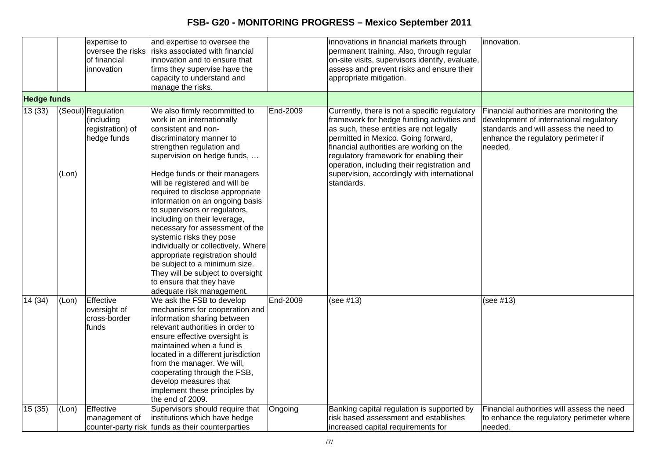|                    |       | expertise to<br>oversee the risks<br>of financial<br>innovation     | and expertise to oversee the<br>risks associated with financial<br>linnovation and to ensure that<br>firms they supervise have the<br>capacity to understand and<br>manage the risks.                                                                                                                                                                                                                                                                                                                                                                                                                                            |          | innovations in financial markets through<br>permanent training. Also, through regular<br>on-site visits, supervisors identify, evaluate,<br>assess and prevent risks and ensure their<br>appropriate mitigation.                                                                                                                                                                 | innovation.                                                                                                                                                                    |
|--------------------|-------|---------------------------------------------------------------------|----------------------------------------------------------------------------------------------------------------------------------------------------------------------------------------------------------------------------------------------------------------------------------------------------------------------------------------------------------------------------------------------------------------------------------------------------------------------------------------------------------------------------------------------------------------------------------------------------------------------------------|----------|----------------------------------------------------------------------------------------------------------------------------------------------------------------------------------------------------------------------------------------------------------------------------------------------------------------------------------------------------------------------------------|--------------------------------------------------------------------------------------------------------------------------------------------------------------------------------|
| <b>Hedge funds</b> |       |                                                                     |                                                                                                                                                                                                                                                                                                                                                                                                                                                                                                                                                                                                                                  |          |                                                                                                                                                                                                                                                                                                                                                                                  |                                                                                                                                                                                |
| 13(33)             | (Lon) | (Seoul) Regulation<br>(including<br>registration) of<br>hedge funds | We also firmly recommitted to<br>work in an internationally<br>consistent and non-<br>discriminatory manner to<br>strengthen regulation and<br>supervision on hedge funds,<br>Hedge funds or their managers<br>will be registered and will be<br>required to disclose appropriate<br>information on an ongoing basis<br>to supervisors or regulators,<br>including on their leverage,<br>necessary for assessment of the<br>systemic risks they pose<br>individually or collectively. Where<br>appropriate registration should<br>be subject to a minimum size.<br>They will be subject to oversight<br>to ensure that they have | End-2009 | Currently, there is not a specific regulatory<br>framework for hedge funding activities and<br>as such, these entities are not legally<br>permitted in Mexico. Going forward,<br>financial authorities are working on the<br>regulatory framework for enabling their<br>operation, including their registration and<br>supervision, accordingly with international<br>standards. | Financial authorities are monitoring the<br>development of international regulatory<br>standards and will assess the need to<br>enhance the regulatory perimeter if<br>needed. |
|                    |       |                                                                     | adequate risk management.                                                                                                                                                                                                                                                                                                                                                                                                                                                                                                                                                                                                        |          |                                                                                                                                                                                                                                                                                                                                                                                  |                                                                                                                                                                                |
| 14 (34)            | (Lon) | Effective<br>oversight of<br>cross-border<br>funds                  | We ask the FSB to develop<br>mechanisms for cooperation and<br>information sharing between<br>relevant authorities in order to<br>ensure effective oversight is<br>maintained when a fund is<br>located in a different jurisdiction<br>from the manager. We will,<br>cooperating through the FSB,<br>develop measures that<br>implement these principles by<br>the end of 2009.                                                                                                                                                                                                                                                  | End-2009 | (see #13)                                                                                                                                                                                                                                                                                                                                                                        | (see #13)                                                                                                                                                                      |
| 15(35)             | (Lon) | Effective<br>management of                                          | Supervisors should require that<br>institutions which have hedge<br>counter-party risk funds as their counterparties                                                                                                                                                                                                                                                                                                                                                                                                                                                                                                             | Ongoing  | Banking capital regulation is supported by<br>risk based assessment and establishes<br>increased capital requirements for                                                                                                                                                                                                                                                        | Financial authorities will assess the need<br>to enhance the regulatory perimeter where<br>needed.                                                                             |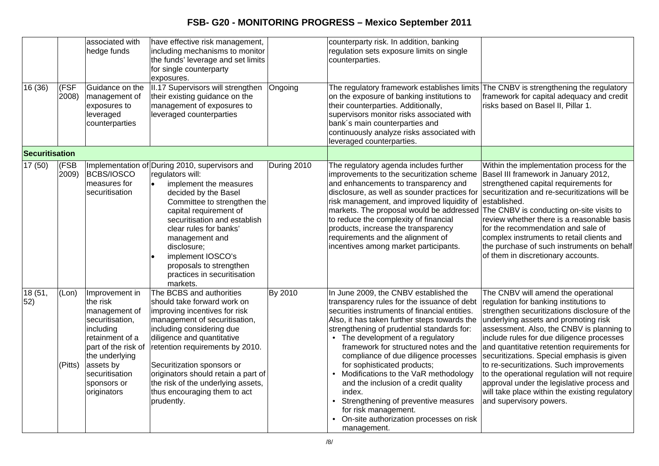| 16(36)         | (FSF<br>2008)     | associated with<br>hedge funds<br>Guidance on the<br>management of<br>exposures to<br>leveraged                                                                                                      | have effective risk management,<br>including mechanisms to monitor<br>the funds' leverage and set limits<br>for single counterparty<br>exposures.<br>II.17 Supervisors will strengthen<br>their existing guidance on the<br>management of exposures to<br>leveraged counterparties                                                                                               | Ongoing     | counterparty risk. In addition, banking<br>regulation sets exposure limits on single<br>counterparties.<br>The regulatory framework establishes limits The CNBV is strengthening the regulatory<br>on the exposure of banking institutions to<br>their counterparties. Additionally,<br>supervisors monitor risks associated with                                                                                                                                                                                                                                                                                | framework for capital adequacy and credit<br>risks based on Basel II, Pillar 1.                                                                                                                                                                                                                                                                                                                                                                                                                                                                                                       |
|----------------|-------------------|------------------------------------------------------------------------------------------------------------------------------------------------------------------------------------------------------|----------------------------------------------------------------------------------------------------------------------------------------------------------------------------------------------------------------------------------------------------------------------------------------------------------------------------------------------------------------------------------|-------------|------------------------------------------------------------------------------------------------------------------------------------------------------------------------------------------------------------------------------------------------------------------------------------------------------------------------------------------------------------------------------------------------------------------------------------------------------------------------------------------------------------------------------------------------------------------------------------------------------------------|---------------------------------------------------------------------------------------------------------------------------------------------------------------------------------------------------------------------------------------------------------------------------------------------------------------------------------------------------------------------------------------------------------------------------------------------------------------------------------------------------------------------------------------------------------------------------------------|
|                |                   | counterparties                                                                                                                                                                                       |                                                                                                                                                                                                                                                                                                                                                                                  |             | bank's main counterparties and<br>continuously analyze risks associated with<br>leveraged counterparties.                                                                                                                                                                                                                                                                                                                                                                                                                                                                                                        |                                                                                                                                                                                                                                                                                                                                                                                                                                                                                                                                                                                       |
| Securitisation |                   |                                                                                                                                                                                                      |                                                                                                                                                                                                                                                                                                                                                                                  |             |                                                                                                                                                                                                                                                                                                                                                                                                                                                                                                                                                                                                                  |                                                                                                                                                                                                                                                                                                                                                                                                                                                                                                                                                                                       |
| 17(50)         | $ $ (FSB<br>2009) | <b>BCBS/IOSCO</b><br>measures for<br>securitisation                                                                                                                                                  | Implementation of During 2010, supervisors and<br>regulators will:<br>implement the measures<br>$\bullet$<br>decided by the Basel<br>Committee to strengthen the<br>capital requirement of<br>securitisation and establish<br>clear rules for banks'<br>management and<br>disclosure;<br>implement IOSCO's<br>proposals to strengthen<br>practices in securitisation<br>markets. | During 2010 | The regulatory agenda includes further<br>improvements to the securitization scheme<br>and enhancements to transparency and<br>disclosure, as well as sounder practices for securitization and re-securitizations will be<br>risk management, and improved liquidity of<br>markets. The proposal would be addressed<br>to reduce the complexity of financial<br>products, increase the transparency<br>requirements and the alignment of<br>incentives among market participants.                                                                                                                                | Within the implementation process for the<br>Basel III framework in January 2012,<br>strengthened capital requirements for<br>established.<br>The CNBV is conducting on-site visits to<br>review whether there is a reasonable basis<br>for the recommendation and sale of<br>complex instruments to retail clients and<br>the purchase of such instruments on behalf<br>of them in discretionary accounts.                                                                                                                                                                           |
| 18 (51,<br>52) | (Lon)<br>(Pitts)  | Improvement in<br>the risk<br>management of<br>securitisation,<br>including<br>retainment of a<br>part of the risk of<br>the underlying<br>assets by<br>securitisation<br>sponsors or<br>originators | The BCBS and authorities<br>should take forward work on<br>improving incentives for risk<br>management of securitisation,<br>including considering due<br>diligence and quantitative<br>retention requirements by 2010.<br>Securitization sponsors or<br>originators should retain a part of<br>the risk of the underlying assets,<br>thus encouraging them to act<br>prudently. | By 2010     | In June 2009, the CNBV established the<br>transparency rules for the issuance of debt<br>securities instruments of financial entities.<br>Also, it has taken further steps towards the<br>strengthening of prudential standards for:<br>• The development of a regulatory<br>framework for structured notes and the<br>compliance of due diligence processes<br>for sophisticated products;<br>Modifications to the VaR methodology<br>and the inclusion of a credit quality<br>index.<br>Strengthening of preventive measures<br>for risk management.<br>On-site authorization processes on risk<br>management. | The CNBV will amend the operational<br>regulation for banking institutions to<br>strengthen securitizations disclosure of the<br>underlying assets and promoting risk<br>assessment. Also, the CNBV is planning to<br>include rules for due diligence processes<br>and quantitative retention requirements for<br>securitizations. Special emphasis is given<br>to re-securitizations. Such improvements<br>to the operational regulation will not require<br>approval under the legislative process and<br>will take place within the existing regulatory<br>and supervisory powers. |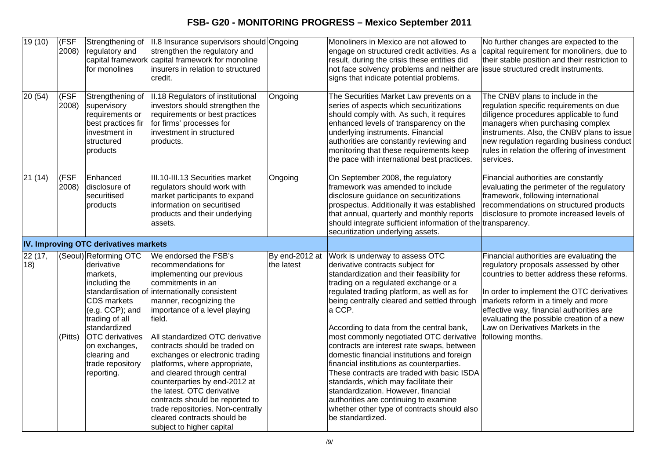| 19(10)         | (FSF<br>2008) | Strengthening of<br>regulatory and<br>capital framework<br>for monolines                                                                                                                                                                                | II.8 Insurance supervisors should Ongoing<br>strengthen the regulatory and<br>capital framework for monoline<br>insurers in relation to structured<br>credit.                                                                                                                                                                                                                                                                                                                                                                                                                 |                              | Monoliners in Mexico are not allowed to<br>engage on structured credit activities. As a<br>result, during the crisis these entities did<br>not face solvency problems and neither are<br>signs that indicate potential problems.                                                                                                                                                                                                                                                                                                                                                                                                                                                                                                          | No further changes are expected to the<br>capital requirement for monoliners, due to<br>their stable position and their restriction to<br>issue structured credit instruments.                                                                                                                                                                                          |
|----------------|---------------|---------------------------------------------------------------------------------------------------------------------------------------------------------------------------------------------------------------------------------------------------------|-------------------------------------------------------------------------------------------------------------------------------------------------------------------------------------------------------------------------------------------------------------------------------------------------------------------------------------------------------------------------------------------------------------------------------------------------------------------------------------------------------------------------------------------------------------------------------|------------------------------|-------------------------------------------------------------------------------------------------------------------------------------------------------------------------------------------------------------------------------------------------------------------------------------------------------------------------------------------------------------------------------------------------------------------------------------------------------------------------------------------------------------------------------------------------------------------------------------------------------------------------------------------------------------------------------------------------------------------------------------------|-------------------------------------------------------------------------------------------------------------------------------------------------------------------------------------------------------------------------------------------------------------------------------------------------------------------------------------------------------------------------|
| 20(54)         | (FSF<br>2008) | Strengthening of<br>supervisory<br>requirements or<br>best practices fir<br>investment in<br>structured<br>products                                                                                                                                     | II.18 Regulators of institutional<br>investors should strengthen the<br>requirements or best practices<br>for firms' processes for<br>investment in structured<br>products.                                                                                                                                                                                                                                                                                                                                                                                                   | Ongoing                      | The Securities Market Law prevents on a<br>series of aspects which securitizations<br>should comply with. As such, it requires<br>enhanced levels of transparency on the<br>underlying instruments. Financial<br>authorities are constantly reviewing and<br>monitoring that these requirements keep<br>the pace with international best practices.                                                                                                                                                                                                                                                                                                                                                                                       | The CNBV plans to include in the<br>regulation specific requirements on due<br>diligence procedures applicable to fund<br>managers when purchasing complex<br>instruments. Also, the CNBV plans to issue<br>new regulation regarding business conduct<br>rules in relation the offering of investment<br>services.                                                      |
| 21(14)         | (FSF<br>2008) | Enhanced<br>disclosure of<br>securitised<br>products                                                                                                                                                                                                    | III.10-III.13 Securities market<br>regulators should work with<br>market participants to expand<br>information on securitised<br>products and their underlying<br>assets.                                                                                                                                                                                                                                                                                                                                                                                                     | Ongoing                      | On September 2008, the regulatory<br>framework was amended to include<br>disclosure guidance on securitizations<br>prospectus. Additionally it was established<br>that annual, quarterly and monthly reports<br>should integrate sufficient information of the transparency.<br>securitization underlying assets.                                                                                                                                                                                                                                                                                                                                                                                                                         | Financial authorities are constantly<br>evaluating the perimeter of the regulatory<br>framework, following international<br>recommendations on structured products<br>disclosure to promote increased levels of                                                                                                                                                         |
|                |               | IV. Improving OTC derivatives markets                                                                                                                                                                                                                   |                                                                                                                                                                                                                                                                                                                                                                                                                                                                                                                                                                               |                              |                                                                                                                                                                                                                                                                                                                                                                                                                                                                                                                                                                                                                                                                                                                                           |                                                                                                                                                                                                                                                                                                                                                                         |
| 22 (17,<br>18) | (Pitts)       | (Seoul) Reforming OTC<br>derivative<br>markets,<br>including the<br>standardisation of<br>CDS markets<br>(e.g. CCP); and<br>trading of all<br>standardized<br><b>OTC</b> derivatives<br>on exchanges,<br>clearing and<br>trade repository<br>reporting. | We endorsed the FSB's<br>recommendations for<br>implementing our previous<br>commitments in an<br>finternationally consistent<br>manner, recognizing the<br>importance of a level playing<br>field.<br>All standardized OTC derivative<br>contracts should be traded on<br>exchanges or electronic trading<br>platforms, where appropriate,<br>and cleared through central<br>counterparties by end-2012 at<br>the latest. OTC derivative<br>contracts should be reported to<br>trade repositories. Non-centrally<br>cleared contracts should be<br>subject to higher capital | By end-2012 at<br>the latest | Work is underway to assess OTC<br>derivative contracts subject for<br>standardization and their feasibility for<br>trading on a regulated exchange or a<br>regulated trading platform, as well as for<br>being centrally cleared and settled through<br>a CCP.<br>According to data from the central bank,<br>most commonly negotiated OTC derivative<br>contracts are interest rate swaps, between<br>domestic financial institutions and foreign<br>financial institutions as counterparties.<br>These contracts are traded with basic ISDA<br>standards, which may facilitate their<br>standardization. However, financial<br>authorities are continuing to examine<br>whether other type of contracts should also<br>be standardized. | Financial authorities are evaluating the<br>regulatory proposals assessed by other<br>countries to better address these reforms.<br>In order to implement the OTC derivatives<br>markets reform in a timely and more<br>effective way, financial authorities are<br>evaluating the possible creation of a new<br>Law on Derivatives Markets in the<br>following months. |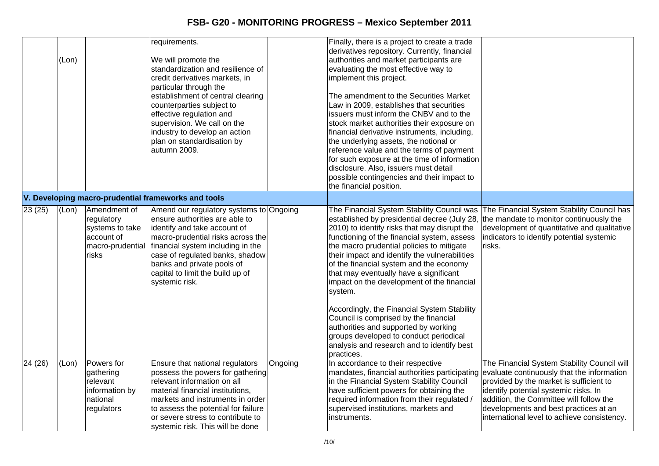|        | (Lon)                |                                                                                          | requirements.<br>We will promote the<br>standardization and resilience of<br>credit derivatives markets, in<br>particular through the<br>establishment of central clearing<br>counterparties subject to<br>effective regulation and<br>supervision. We call on the<br>industry to develop an action<br>plan on standardisation by<br>autumn 2009. |         | Finally, there is a project to create a trade<br>derivatives repository. Currently, financial<br>authorities and market participants are<br>evaluating the most effective way to<br>implement this project.<br>The amendment to the Securities Market<br>Law in 2009, establishes that securities<br>issuers must inform the CNBV and to the<br>stock market authorities their exposure on<br>financial derivative instruments, including,<br>the underlying assets, the notional or<br>reference value and the terms of payment<br>for such exposure at the time of information<br>disclosure. Also, issuers must detail<br>possible contingencies and their impact to<br>the financial position. |                                                                                                                                                                                                                                                                                                                  |
|--------|----------------------|------------------------------------------------------------------------------------------|---------------------------------------------------------------------------------------------------------------------------------------------------------------------------------------------------------------------------------------------------------------------------------------------------------------------------------------------------|---------|----------------------------------------------------------------------------------------------------------------------------------------------------------------------------------------------------------------------------------------------------------------------------------------------------------------------------------------------------------------------------------------------------------------------------------------------------------------------------------------------------------------------------------------------------------------------------------------------------------------------------------------------------------------------------------------------------|------------------------------------------------------------------------------------------------------------------------------------------------------------------------------------------------------------------------------------------------------------------------------------------------------------------|
|        |                      |                                                                                          | V. Developing macro-prudential frameworks and tools                                                                                                                                                                                                                                                                                               |         |                                                                                                                                                                                                                                                                                                                                                                                                                                                                                                                                                                                                                                                                                                    |                                                                                                                                                                                                                                                                                                                  |
| 23(25) | $\overline{L}$ (Lon) | Amendment of<br>regulatory<br>systems to take<br>account of<br>macro-prudential<br>risks | Amend our regulatory systems to Ongoing<br>ensure authorities are able to<br>identify and take account of<br>macro-prudential risks across the<br>financial system including in the<br>case of regulated banks, shadow<br>banks and private pools of<br>capital to limit the build up of<br>systemic risk.                                        |         | established by presidential decree (July 28,<br>2010) to identify risks that may disrupt the<br>functioning of the financial system, assess<br>the macro prudential policies to mitigate<br>their impact and identify the vulnerabilities<br>of the financial system and the economy<br>that may eventually have a significant<br>impact on the development of the financial<br>system.<br>Accordingly, the Financial System Stability<br>Council is comprised by the financial<br>authorities and supported by working<br>groups developed to conduct periodical<br>analysis and research and to identify best<br>practices.                                                                      | The Financial System Stability Council was The Financial System Stability Council has<br>the mandate to monitor continuously the<br>development of quantitative and qualitative<br>indicators to identify potential systemic<br>risks.                                                                           |
| 24(26) | (Lon)                | Powers for<br>gathering<br>relevant<br>information by<br>national<br>regulators          | Ensure that national regulators<br>possess the powers for gathering<br>relevant information on all<br>material financial institutions,<br>markets and instruments in order<br>to assess the potential for failure<br>or severe stress to contribute to<br>systemic risk. This will be done                                                        | Ongoing | In accordance to their respective<br>mandates, financial authorities participating<br>in the Financial System Stability Council<br>have sufficient powers for obtaining the<br>required information from their regulated /<br>supervised institutions, markets and<br>instruments.                                                                                                                                                                                                                                                                                                                                                                                                                 | The Financial System Stability Council will<br>evaluate continuously that the information<br>provided by the market is sufficient to<br>identify potential systemic risks. In<br>addition, the Committee will follow the<br>developments and best practices at an<br>international level to achieve consistency. |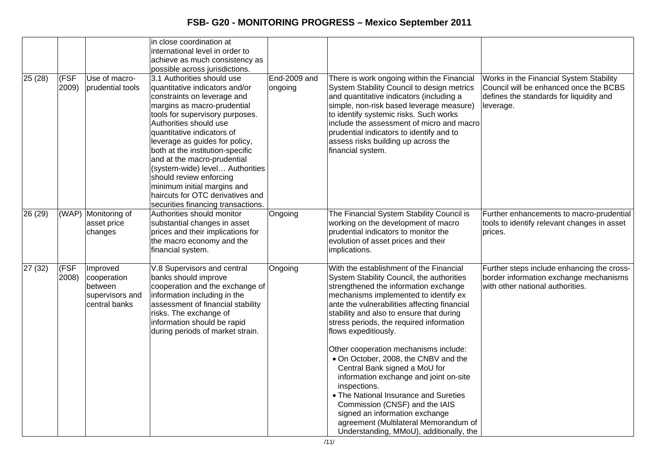|         |               |                                                                        | in close coordination at<br>international level in order to<br>achieve as much consistency as<br>possible across jurisdictions.                                                                                                                                                                                                                                                                                                                                                                   |                         |                                                                                                                                                                                                                                                                                                                                                                                                                                                                                                                                                                                                                                                                                                                     |                                                                                                                                           |
|---------|---------------|------------------------------------------------------------------------|---------------------------------------------------------------------------------------------------------------------------------------------------------------------------------------------------------------------------------------------------------------------------------------------------------------------------------------------------------------------------------------------------------------------------------------------------------------------------------------------------|-------------------------|---------------------------------------------------------------------------------------------------------------------------------------------------------------------------------------------------------------------------------------------------------------------------------------------------------------------------------------------------------------------------------------------------------------------------------------------------------------------------------------------------------------------------------------------------------------------------------------------------------------------------------------------------------------------------------------------------------------------|-------------------------------------------------------------------------------------------------------------------------------------------|
| 25(28)  | (FSF<br>2009) | Use of macro-<br>prudential tools                                      | 3.1 Authorities should use<br>quantitative indicators and/or<br>constraints on leverage and<br>margins as macro-prudential<br>tools for supervisory purposes.<br>Authorities should use<br>quantitative indicators of<br>leverage as guides for policy,<br>both at the institution-specific<br>and at the macro-prudential<br>(system-wide) level Authorities<br>should review enforcing<br>minimum initial margins and<br>haircuts for OTC derivatives and<br>securities financing transactions. | End-2009 and<br>ongoing | There is work ongoing within the Financial<br>System Stability Council to design metrics<br>and quantitative indicators (including a<br>simple, non-risk based leverage measure)<br>to identify systemic risks. Such works<br>include the assessment of micro and macro<br>prudential indicators to identify and to<br>assess risks building up across the<br>financial system.                                                                                                                                                                                                                                                                                                                                     | Works in the Financial System Stability<br>Council will be enhanced once the BCBS<br>defines the standards for liquidity and<br>leverage. |
| 26 (29) |               | (WAP) Monitoring of<br>asset price<br>changes                          | Authorities should monitor<br>substantial changes in asset<br>prices and their implications for<br>the macro economy and the<br>financial system.                                                                                                                                                                                                                                                                                                                                                 | Ongoing                 | The Financial System Stability Council is<br>working on the development of macro<br>prudential indicators to monitor the<br>evolution of asset prices and their<br>implications.                                                                                                                                                                                                                                                                                                                                                                                                                                                                                                                                    | Further enhancements to macro-prudential<br>tools to identify relevant changes in asset<br>prices.                                        |
| 27(32)  | (FSF<br>2008) | Improved<br>cooperation<br>between<br>supervisors and<br>central banks | V.8 Supervisors and central<br>banks should improve<br>cooperation and the exchange of<br>information including in the<br>assessment of financial stability<br>risks. The exchange of<br>information should be rapid<br>during periods of market strain.                                                                                                                                                                                                                                          | Ongoing                 | With the establishment of the Financial<br>System Stability Council, the authorities<br>strengthened the information exchange<br>mechanisms implemented to identify ex<br>ante the vulnerabilities affecting financial<br>stability and also to ensure that during<br>stress periods, the required information<br>flows expeditiously.<br>Other cooperation mechanisms include:<br>. On October, 2008, the CNBV and the<br>Central Bank signed a MoU for<br>information exchange and joint on-site<br>inspections.<br>• The National Insurance and Sureties<br>Commission (CNSF) and the IAIS<br>signed an information exchange<br>agreement (Multilateral Memorandum of<br>Understanding, MMoU), additionally, the | Further steps include enhancing the cross-<br>border information exchange mechanisms<br>with other national authorities.                  |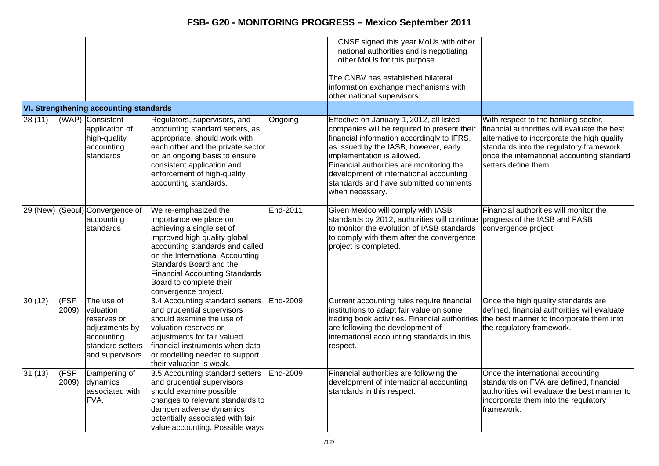|         |                      |                                                                                                               |                                                                                                                                                                                                                                                                                                          |          | CNSF signed this year MoUs with other<br>national authorities and is negotiating<br>other MoUs for this purpose.<br>The CNBV has established bilateral                                                                                                                                                                                                          |                                                                                                                                                                                                                                                     |
|---------|----------------------|---------------------------------------------------------------------------------------------------------------|----------------------------------------------------------------------------------------------------------------------------------------------------------------------------------------------------------------------------------------------------------------------------------------------------------|----------|-----------------------------------------------------------------------------------------------------------------------------------------------------------------------------------------------------------------------------------------------------------------------------------------------------------------------------------------------------------------|-----------------------------------------------------------------------------------------------------------------------------------------------------------------------------------------------------------------------------------------------------|
|         |                      |                                                                                                               |                                                                                                                                                                                                                                                                                                          |          | information exchange mechanisms with<br>other national supervisors.                                                                                                                                                                                                                                                                                             |                                                                                                                                                                                                                                                     |
|         |                      | <b>VI. Strengthening accounting standards</b>                                                                 |                                                                                                                                                                                                                                                                                                          |          |                                                                                                                                                                                                                                                                                                                                                                 |                                                                                                                                                                                                                                                     |
| 28 (11) |                      | (WAP) Consistent<br>application of<br>high-quality<br>accounting<br>standards                                 | Regulators, supervisors, and<br>accounting standard setters, as<br>appropriate, should work with<br>each other and the private sector<br>on an ongoing basis to ensure<br>consistent application and<br>enforcement of high-quality<br>accounting standards.                                             | Ongoing  | Effective on January 1, 2012, all listed<br>companies will be required to present their<br>financial information accordingly to IFRS,<br>as issued by the IASB, however, early<br>implementation is allowed.<br>Financial authorities are monitoring the<br>development of international accounting<br>standards and have submitted comments<br>when necessary. | With respect to the banking sector,<br>financial authorities will evaluate the best<br>alternative to incorporate the high quality<br>standards into the regulatory framework<br>once the international accounting standard<br>setters define them. |
|         |                      | 29 (New) (Seoul) Convergence of<br>accounting<br>standards                                                    | We re-emphasized the<br>importance we place on<br>achieving a single set of<br>improved high quality global<br>accounting standards and called<br>on the International Accounting<br>Standards Board and the<br><b>Financial Accounting Standards</b><br>Board to complete their<br>convergence project. | End-2011 | Given Mexico will comply with IASB<br>standards by 2012, authorities will continue progress of the IASB and FASB<br>to monitor the evolution of IASB standards<br>to comply with them after the convergence<br>project is completed.                                                                                                                            | Financial authorities will monitor the<br>convergence project.                                                                                                                                                                                      |
| 30(12)  | <b>IFSF</b><br>2009) | The use of<br>valuation<br>reserves or<br>adjustments by<br>accounting<br>standard setters<br>and supervisors | 3.4 Accounting standard setters<br>and prudential supervisors<br>should examine the use of<br>valuation reserves or<br>adjustments for fair valued<br>financial instruments when data<br>or modelling needed to support<br>their valuation is weak.                                                      | End-2009 | Current accounting rules require financial<br>institutions to adapt fair value on some<br>trading book activities. Financial authorities<br>are following the development of<br>international accounting standards in this<br>respect.                                                                                                                          | Once the high quality standards are<br>defined, financial authorities will evaluate<br>the best manner to incorporate them into<br>the regulatory framework.                                                                                        |
| 31(13)  | (FSF<br>2009)        | Dampening of<br>dynamics<br>associated with<br>FVA.                                                           | 3.5 Accounting standard setters<br>and prudential supervisors<br>should examine possible<br>changes to relevant standards to<br>dampen adverse dynamics<br>potentially associated with fair<br>value accounting. Possible ways                                                                           | End-2009 | Financial authorities are following the<br>development of international accounting<br>standards in this respect.                                                                                                                                                                                                                                                | Once the international accounting<br>standards on FVA are defined, financial<br>authorities will evaluate the best manner to<br>incorporate them into the regulatory<br>framework.                                                                  |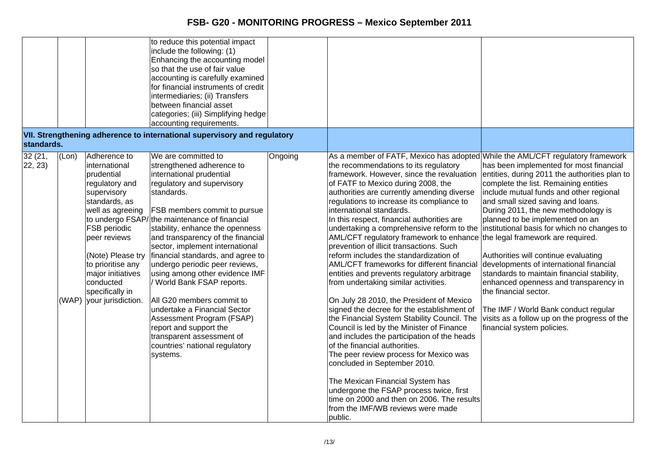| standards.         |       |                                                                                                                                                                                                                                                                                     | to reduce this potential impact<br>include the following: (1)<br>Enhancing the accounting model<br>so that the use of fair value<br>accounting is carefully examined<br>for financial instruments of credit<br>intermediaries; (ii) Transfers<br>between financial asset<br>categories; (iii) Simplifying hedge<br>accounting requirements.<br>VII. Strengthening adherence to international supervisory and regulatory                                                                                                                                                                                                                                    |         |                                                                                                                                                                                                                                                                                                                                                                                                                                                                                                                                                                                                                                                                                                                                                                                                                                                                                                                                                                                                                                                                                                                                                                                                                                                                  |                                                                                                                                                                                                                                                                                                                                                                                                                                                                                                                                                                                                                                                                     |
|--------------------|-------|-------------------------------------------------------------------------------------------------------------------------------------------------------------------------------------------------------------------------------------------------------------------------------------|------------------------------------------------------------------------------------------------------------------------------------------------------------------------------------------------------------------------------------------------------------------------------------------------------------------------------------------------------------------------------------------------------------------------------------------------------------------------------------------------------------------------------------------------------------------------------------------------------------------------------------------------------------|---------|------------------------------------------------------------------------------------------------------------------------------------------------------------------------------------------------------------------------------------------------------------------------------------------------------------------------------------------------------------------------------------------------------------------------------------------------------------------------------------------------------------------------------------------------------------------------------------------------------------------------------------------------------------------------------------------------------------------------------------------------------------------------------------------------------------------------------------------------------------------------------------------------------------------------------------------------------------------------------------------------------------------------------------------------------------------------------------------------------------------------------------------------------------------------------------------------------------------------------------------------------------------|---------------------------------------------------------------------------------------------------------------------------------------------------------------------------------------------------------------------------------------------------------------------------------------------------------------------------------------------------------------------------------------------------------------------------------------------------------------------------------------------------------------------------------------------------------------------------------------------------------------------------------------------------------------------|
| 32 (21,<br>22, 23) | (Lon) | Adherence to<br>international<br>prudential<br>regulatory and<br>supervisory<br>standards, as<br>well as agreeing<br><b>FSB</b> periodic<br>peer reviews<br>(Note) Please try<br>to prioritise any<br>major initiatives<br>conducted<br>specifically in<br>(WAP) your jurisdiction. | We are committed to<br>strengthened adherence to<br>international prudential<br>regulatory and supervisory<br>standards.<br>FSB members commit to pursue<br>to undergo FSAP/ the maintenance of financial<br>stability, enhance the openness<br>and transparency of the financial<br>sector, implement international<br>financial standards, and agree to<br>undergo periodic peer reviews,<br>using among other evidence IMF<br>/ World Bank FSAP reports.<br>All G20 members commit to<br>undertake a Financial Sector<br>Assessment Program (FSAP)<br>report and support the<br>transparent assessment of<br>countries' national regulatory<br>systems. | Ongoing | As a member of FATF, Mexico has adopted While the AML/CFT regulatory framework<br>the recommendations to its regulatory<br>framework. However, since the revaluation<br>of FATF to Mexico during 2008, the<br>authorities are currently amending diverse<br>regulations to increase its compliance to<br>international standards.<br>In this respect, financial authorities are<br>undertaking a comprehensive reform to the<br>AML/CFT regulatory framework to enhance the legal framework are required.<br>prevention of illicit transactions. Such<br>reform includes the standardization of<br>AML/CFT frameworks for different financial<br>entities and prevents regulatory arbitrage<br>from undertaking similar activities.<br>On July 28 2010, the President of Mexico<br>signed the decree for the establishment of<br>the Financial System Stability Council. The<br>Council is led by the Minister of Finance<br>and includes the participation of the heads<br>of the financial authorities.<br>The peer review process for Mexico was<br>concluded in September 2010.<br>The Mexican Financial System has<br>undergone the FSAP process twice, first<br>time on 2000 and then on 2006. The results<br>from the IMF/WB reviews were made<br>public. | has been implemented for most financial<br>entities, during 2011 the authorities plan to<br>complete the list. Remaining entities<br>include mutual funds and other regional<br>and small sized saving and loans.<br>During 2011, the new methodology is<br>planned to be implemented on an<br>institutional basis for which no changes to<br>Authorities will continue evaluating<br>developments of international financial<br>standards to maintain financial stability,<br>enhanced openness and transparency in<br>the financial sector.<br>The IMF / World Bank conduct regular<br>visits as a follow up on the progress of the<br>financial system policies. |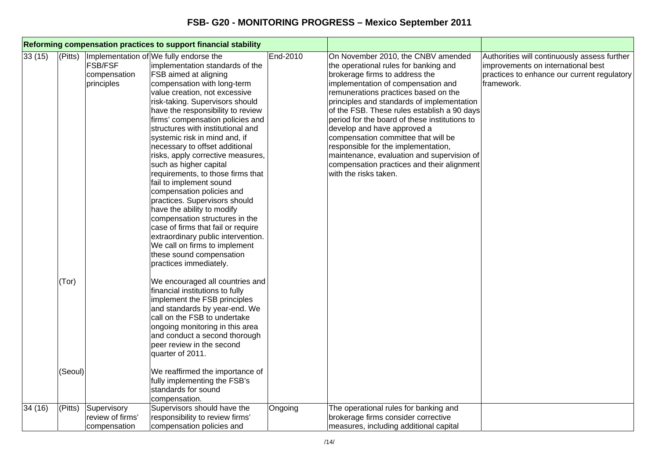| Reforming compensation practices to support financial stability |                         |                                                 |                                                                                                                                                                                                                                                                                                                                                                                                                                                                                                                                                                                                                                                                                                                                                                                                                        |          |                                                                                                                                                                                                                                                                                                                                                                                                                                                                                                                                                                             |                                                                                                                                                 |
|-----------------------------------------------------------------|-------------------------|-------------------------------------------------|------------------------------------------------------------------------------------------------------------------------------------------------------------------------------------------------------------------------------------------------------------------------------------------------------------------------------------------------------------------------------------------------------------------------------------------------------------------------------------------------------------------------------------------------------------------------------------------------------------------------------------------------------------------------------------------------------------------------------------------------------------------------------------------------------------------------|----------|-----------------------------------------------------------------------------------------------------------------------------------------------------------------------------------------------------------------------------------------------------------------------------------------------------------------------------------------------------------------------------------------------------------------------------------------------------------------------------------------------------------------------------------------------------------------------------|-------------------------------------------------------------------------------------------------------------------------------------------------|
| 33(15)                                                          | (Pitts)                 | <b>FSB/FSF</b><br>compensation<br>principles    | Implementation of We fully endorse the<br>implementation standards of the<br>FSB aimed at aligning<br>compensation with long-term<br>value creation, not excessive<br>risk-taking. Supervisors should<br>have the responsibility to review<br>firms' compensation policies and<br>structures with institutional and<br>systemic risk in mind and, if<br>necessary to offset additional<br>risks, apply corrective measures,<br>such as higher capital<br>requirements, to those firms that<br>fail to implement sound<br>compensation policies and<br>practices. Supervisors should<br>have the ability to modify<br>compensation structures in the<br>case of firms that fail or require<br>extraordinary public intervention.<br>We call on firms to implement<br>these sound compensation<br>practices immediately. | End-2010 | On November 2010, the CNBV amended<br>the operational rules for banking and<br>brokerage firms to address the<br>implementation of compensation and<br>remunerations practices based on the<br>principles and standards of implementation<br>of the FSB. These rules establish a 90 days<br>period for the board of these institutions to<br>develop and have approved a<br>compensation committee that will be<br>responsible for the implementation,<br>maintenance, evaluation and supervision of<br>compensation practices and their alignment<br>with the risks taken. | Authorities will continuously assess further<br>improvements on international best<br>practices to enhance our current regulatory<br>framework. |
|                                                                 | (Tor)<br>(Seoul)        |                                                 | We encouraged all countries and<br>financial institutions to fully<br>implement the FSB principles<br>and standards by year-end. We<br>call on the FSB to undertake<br>ongoing monitoring in this area<br>and conduct a second thorough<br>peer review in the second<br>quarter of 2011.<br>We reaffirmed the importance of<br>fully implementing the FSB's<br>standards for sound<br>compensation.                                                                                                                                                                                                                                                                                                                                                                                                                    |          |                                                                                                                                                                                                                                                                                                                                                                                                                                                                                                                                                                             |                                                                                                                                                 |
| 34 (16)                                                         | $\sqrt{\text{(Pitts)}}$ | Supervisory<br>review of firms'<br>compensation | Supervisors should have the<br>responsibility to review firms'<br>compensation policies and                                                                                                                                                                                                                                                                                                                                                                                                                                                                                                                                                                                                                                                                                                                            | Ongoing  | The operational rules for banking and<br>brokerage firms consider corrective<br>measures, including additional capital                                                                                                                                                                                                                                                                                                                                                                                                                                                      |                                                                                                                                                 |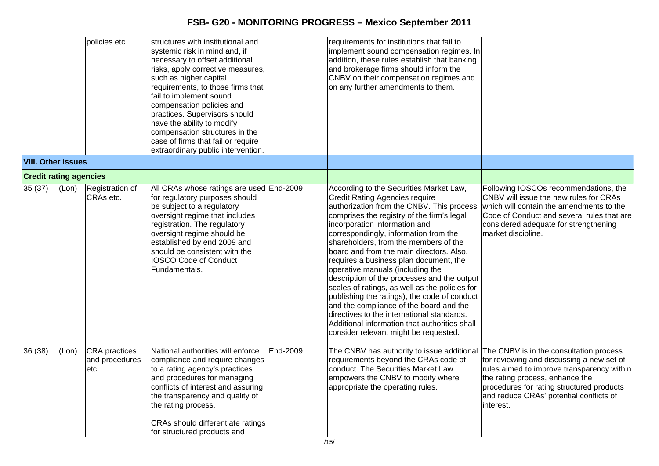|                               |       | policies etc.                           | structures with institutional and<br>systemic risk in mind and, if<br>necessary to offset additional<br>risks, apply corrective measures,<br>such as higher capital<br>requirements, to those firms that<br>fail to implement sound<br>compensation policies and<br>practices. Supervisors should<br>have the ability to modify<br>compensation structures in the<br>case of firms that fail or require |          | requirements for institutions that fail to<br>implement sound compensation regimes. In<br>addition, these rules establish that banking<br>and brokerage firms should inform the<br>CNBV on their compensation regimes and<br>on any further amendments to them.                                                                                                                                                                                                                                                                                                                                                                                                                                                                                              |                                                                                                                                                                                                                                                                            |
|-------------------------------|-------|-----------------------------------------|---------------------------------------------------------------------------------------------------------------------------------------------------------------------------------------------------------------------------------------------------------------------------------------------------------------------------------------------------------------------------------------------------------|----------|--------------------------------------------------------------------------------------------------------------------------------------------------------------------------------------------------------------------------------------------------------------------------------------------------------------------------------------------------------------------------------------------------------------------------------------------------------------------------------------------------------------------------------------------------------------------------------------------------------------------------------------------------------------------------------------------------------------------------------------------------------------|----------------------------------------------------------------------------------------------------------------------------------------------------------------------------------------------------------------------------------------------------------------------------|
| <b>VIII. Other issues</b>     |       |                                         | extraordinary public intervention.                                                                                                                                                                                                                                                                                                                                                                      |          |                                                                                                                                                                                                                                                                                                                                                                                                                                                                                                                                                                                                                                                                                                                                                              |                                                                                                                                                                                                                                                                            |
| <b>Credit rating agencies</b> |       |                                         |                                                                                                                                                                                                                                                                                                                                                                                                         |          |                                                                                                                                                                                                                                                                                                                                                                                                                                                                                                                                                                                                                                                                                                                                                              |                                                                                                                                                                                                                                                                            |
| 35(37)                        | (Lon) | Registration of<br>CRAs etc.            | All CRAs whose ratings are used End-2009<br>for regulatory purposes should<br>be subject to a regulatory<br>oversight regime that includes<br>registration. The regulatory<br>oversight regime should be<br>established by end 2009 and<br>should be consistent with the<br><b>IOSCO Code of Conduct</b><br>Fundamentals.                                                                               |          | According to the Securities Market Law,<br><b>Credit Rating Agencies require</b><br>authorization from the CNBV. This process<br>comprises the registry of the firm's legal<br>incorporation information and<br>correspondingly, information from the<br>shareholders, from the members of the<br>board and from the main directors. Also,<br>requires a business plan document, the<br>operative manuals (including the<br>description of the processes and the output<br>scales of ratings, as well as the policies for<br>publishing the ratings), the code of conduct<br>and the compliance of the board and the<br>directives to the international standards.<br>Additional information that authorities shall<br>consider relevant might be requested. | Following IOSCOs recommendations, the<br>CNBV will issue the new rules for CRAs<br>which will contain the amendments to the<br>Code of Conduct and several rules that are<br>considered adequate for strengthening<br>market discipline.                                   |
| 36 (38)                       | (Lon) | CRA practices<br>and procedures<br>etc. | National authorities will enforce<br>compliance and require changes<br>to a rating agency's practices<br>and procedures for managing<br>conflicts of interest and assuring<br>the transparency and quality of<br>the rating process.<br>CRAs should differentiate ratings<br>for structured products and                                                                                                | End-2009 | The CNBV has authority to issue additional<br>requirements beyond the CRAs code of<br>conduct. The Securities Market Law<br>empowers the CNBV to modify where<br>appropriate the operating rules.                                                                                                                                                                                                                                                                                                                                                                                                                                                                                                                                                            | The CNBV is in the consultation process<br>for reviewing and discussing a new set of<br>rules aimed to improve transparency within<br>the rating process, enhance the<br>procedures for rating structured products<br>and reduce CRAs' potential conflicts of<br>interest. |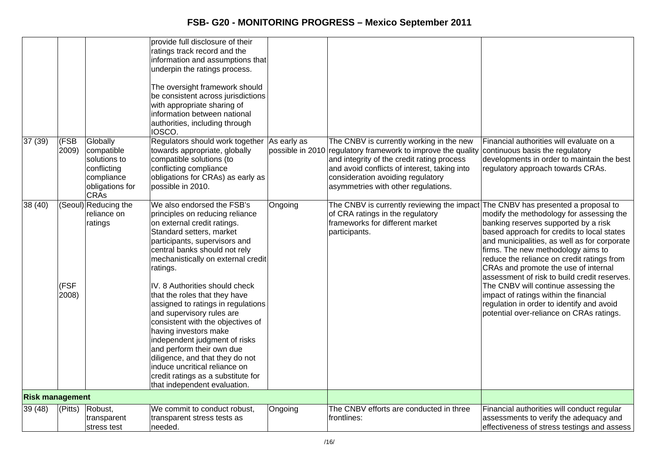|                        |               |                                                                                                       | provide full disclosure of their<br>ratings track record and the<br>information and assumptions that<br>underpin the ratings process.<br>The oversight framework should<br>be consistent across jurisdictions<br>with appropriate sharing of<br>information between national<br>authorities, including through<br>IOSCO.                                                                                 |                  |                                                                                                                                                                                                                                                                   |                                                                                                                                                                                                                                                                                                                                                            |
|------------------------|---------------|-------------------------------------------------------------------------------------------------------|----------------------------------------------------------------------------------------------------------------------------------------------------------------------------------------------------------------------------------------------------------------------------------------------------------------------------------------------------------------------------------------------------------|------------------|-------------------------------------------------------------------------------------------------------------------------------------------------------------------------------------------------------------------------------------------------------------------|------------------------------------------------------------------------------------------------------------------------------------------------------------------------------------------------------------------------------------------------------------------------------------------------------------------------------------------------------------|
| 37(39)                 | (FSB<br>2009) | Globally<br>compatible<br>solutions to<br>conflicting<br>compliance<br>obligations for<br><b>CRAs</b> | Regulators should work together As early as<br>towards appropriate, globally<br>compatible solutions (to<br>conflicting compliance<br>obligations for CRAs) as early as<br>possible in 2010.                                                                                                                                                                                                             | possible in 2010 | The CNBV is currently working in the new<br>regulatory framework to improve the quality<br>and integrity of the credit rating process<br>and avoid conflicts of interest, taking into<br>consideration avoiding regulatory<br>asymmetries with other regulations. | Financial authorities will evaluate on a<br>continuous basis the regulatory<br>developments in order to maintain the best<br>regulatory approach towards CRAs.                                                                                                                                                                                             |
| 38 (40)                |               | (Seoul) Reducing the<br>reliance on<br>ratings                                                        | We also endorsed the FSB's<br>principles on reducing reliance<br>on external credit ratings.<br>Standard setters, market<br>participants, supervisors and<br>central banks should not rely<br>mechanistically on external credit<br>ratings.                                                                                                                                                             | Ongoing          | The CNBV is currently reviewing the impact The CNBV has presented a proposal to<br>of CRA ratings in the regulatory<br>frameworks for different market<br>participants.                                                                                           | modify the methodology for assessing the<br>banking reserves supported by a risk<br>based approach for credits to local states<br>and municipalities, as well as for corporate<br>firms. The new methodology aims to<br>reduce the reliance on credit ratings from<br>CRAs and promote the use of internal<br>assessment of risk to build credit reserves. |
|                        | (FSF<br>2008) |                                                                                                       | IV. 8 Authorities should check<br>that the roles that they have<br>assigned to ratings in regulations<br>and supervisory rules are<br>consistent with the objectives of<br>having investors make<br>independent judgment of risks<br>and perform their own due<br>diligence, and that they do not<br>induce uncritical reliance on<br>credit ratings as a substitute for<br>that independent evaluation. |                  |                                                                                                                                                                                                                                                                   | The CNBV will continue assessing the<br>impact of ratings within the financial<br>regulation in order to identify and avoid<br>potential over-reliance on CRAs ratings.                                                                                                                                                                                    |
| <b>Risk management</b> |               |                                                                                                       |                                                                                                                                                                                                                                                                                                                                                                                                          |                  |                                                                                                                                                                                                                                                                   |                                                                                                                                                                                                                                                                                                                                                            |
| 39 (48)                | $ $ (Pitts)   | Robust,<br>transparent<br>stress test                                                                 | We commit to conduct robust,<br>transparent stress tests as<br>needed.                                                                                                                                                                                                                                                                                                                                   | Ongoing          | The CNBV efforts are conducted in three<br>frontlines:                                                                                                                                                                                                            | Financial authorities will conduct regular<br>assessments to verify the adequacy and<br>effectiveness of stress testings and assess                                                                                                                                                                                                                        |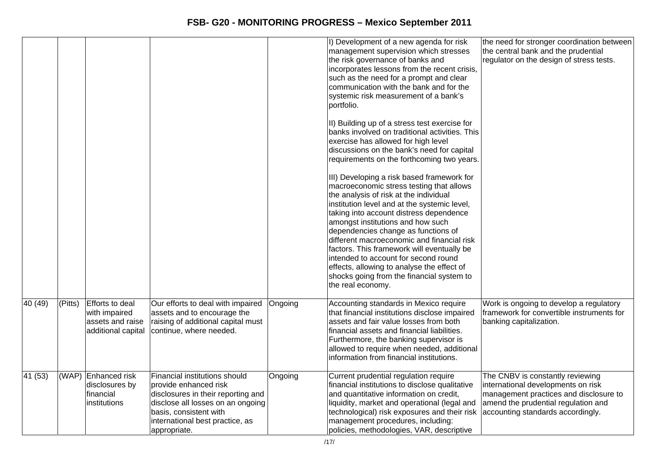|                      |         |                                                                            |                                                                                                                                                                                                                |         | I) Development of a new agenda for risk<br>management supervision which stresses<br>the risk governance of banks and<br>incorporates lessons from the recent crisis,<br>such as the need for a prompt and clear<br>communication with the bank and for the<br>systemic risk measurement of a bank's<br>portfolio.                                                                                                                                                                                                                                           | the need for stronger coordination between<br>the central bank and the prudential<br>regulator on the design of stress tests.                                                                |
|----------------------|---------|----------------------------------------------------------------------------|----------------------------------------------------------------------------------------------------------------------------------------------------------------------------------------------------------------|---------|-------------------------------------------------------------------------------------------------------------------------------------------------------------------------------------------------------------------------------------------------------------------------------------------------------------------------------------------------------------------------------------------------------------------------------------------------------------------------------------------------------------------------------------------------------------|----------------------------------------------------------------------------------------------------------------------------------------------------------------------------------------------|
|                      |         |                                                                            |                                                                                                                                                                                                                |         | II) Building up of a stress test exercise for<br>banks involved on traditional activities. This<br>exercise has allowed for high level<br>discussions on the bank's need for capital<br>requirements on the forthcoming two years.                                                                                                                                                                                                                                                                                                                          |                                                                                                                                                                                              |
|                      |         |                                                                            |                                                                                                                                                                                                                |         | III) Developing a risk based framework for<br>macroeconomic stress testing that allows<br>the analysis of risk at the individual<br>institution level and at the systemic level,<br>taking into account distress dependence<br>amongst institutions and how such<br>dependencies change as functions of<br>different macroeconomic and financial risk<br>factors. This framework will eventually be<br>intended to account for second round<br>effects, allowing to analyse the effect of<br>shocks going from the financial system to<br>the real economy. |                                                                                                                                                                                              |
| 40 (49)              | (Pitts) | Efforts to deal<br>with impaired<br>assets and raise<br>additional capital | Our efforts to deal with impaired<br>assets and to encourage the<br>raising of additional capital must<br>continue, where needed.                                                                              | Ongoing | Accounting standards in Mexico require<br>that financial institutions disclose impaired<br>assets and fair value losses from both<br>financial assets and financial liabilities.<br>Furthermore, the banking supervisor is<br>allowed to require when needed, additional<br>information from financial institutions.                                                                                                                                                                                                                                        | Work is ongoing to develop a regulatory<br>framework for convertible instruments for<br>banking capitalization.                                                                              |
| $\overline{41}$ (53) |         | (WAP) Enhanced risk<br>disclosures by<br>financial<br>institutions         | Financial institutions should<br>provide enhanced risk<br>disclosures in their reporting and<br>disclose all losses on an ongoing<br>basis, consistent with<br>international best practice, as<br>appropriate. | Ongoing | Current prudential regulation require<br>financial institutions to disclose qualitative<br>and quantitative information on credit,<br>liquidity, market and operational (legal and<br>technological) risk exposures and their risk<br>management procedures, including:<br>policies, methodologies, VAR, descriptive                                                                                                                                                                                                                                        | The CNBV is constantly reviewing<br>international developments on risk<br>management practices and disclosure to<br>amend the prudential regulation and<br>accounting standards accordingly. |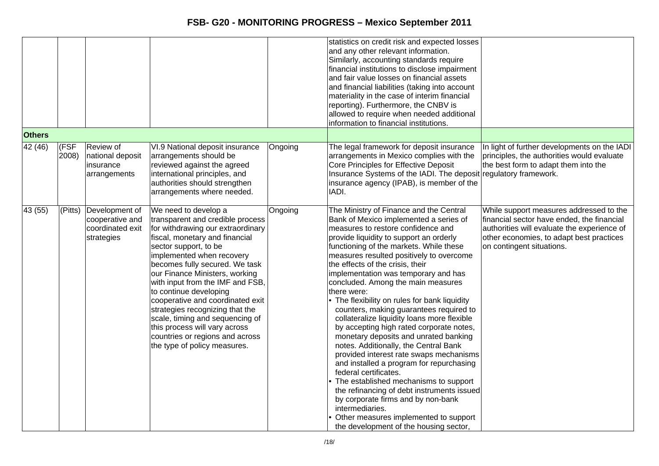|               |               |                                                                     |                                                                                                                                                                                                                                                                                                                                                                                                                                                                                                                                       |         | statistics on credit risk and expected losses<br>and any other relevant information.<br>Similarly, accounting standards require<br>financial institutions to disclose impairment<br>and fair value losses on financial assets<br>and financial liabilities (taking into account<br>materiality in the case of interim financial<br>reporting). Furthermore, the CNBV is<br>allowed to require when needed additional<br>information to financial institutions.                                                                                                                                                                                                                                                                                                                                                                                                                                                                                                                                                             |                                                                                                                                                                                                               |
|---------------|---------------|---------------------------------------------------------------------|---------------------------------------------------------------------------------------------------------------------------------------------------------------------------------------------------------------------------------------------------------------------------------------------------------------------------------------------------------------------------------------------------------------------------------------------------------------------------------------------------------------------------------------|---------|----------------------------------------------------------------------------------------------------------------------------------------------------------------------------------------------------------------------------------------------------------------------------------------------------------------------------------------------------------------------------------------------------------------------------------------------------------------------------------------------------------------------------------------------------------------------------------------------------------------------------------------------------------------------------------------------------------------------------------------------------------------------------------------------------------------------------------------------------------------------------------------------------------------------------------------------------------------------------------------------------------------------------|---------------------------------------------------------------------------------------------------------------------------------------------------------------------------------------------------------------|
| <b>Others</b> |               |                                                                     |                                                                                                                                                                                                                                                                                                                                                                                                                                                                                                                                       |         |                                                                                                                                                                                                                                                                                                                                                                                                                                                                                                                                                                                                                                                                                                                                                                                                                                                                                                                                                                                                                            |                                                                                                                                                                                                               |
| 42 (46)       | (FSF<br>2008) | Review of<br>national deposit<br>insurance<br>arrangements          | VI.9 National deposit insurance<br>arrangements should be<br>reviewed against the agreed<br>international principles, and<br>authorities should strengthen<br>arrangements where needed.                                                                                                                                                                                                                                                                                                                                              | Ongoing | The legal framework for deposit insurance<br>arrangements in Mexico complies with the<br>Core Principles for Effective Deposit<br>Insurance Systems of the IADI. The deposit regulatory framework.<br>insurance agency (IPAB), is member of the<br>IADI.                                                                                                                                                                                                                                                                                                                                                                                                                                                                                                                                                                                                                                                                                                                                                                   | In light of further developments on the IADI<br>principles, the authorities would evaluate<br>the best form to adapt them into the                                                                            |
| 43 (55)       | $ $ (Pitts)   | Development of<br>cooperative and<br>coordinated exit<br>strategies | We need to develop a<br>transparent and credible process<br>for withdrawing our extraordinary<br>fiscal, monetary and financial<br>sector support, to be<br>implemented when recovery<br>becomes fully secured. We task<br>our Finance Ministers, working<br>with input from the IMF and FSB,<br>to continue developing<br>cooperative and coordinated exit<br>strategies recognizing that the<br>scale, timing and sequencing of<br>this process will vary across<br>countries or regions and across<br>the type of policy measures. | Ongoing | The Ministry of Finance and the Central<br>Bank of Mexico implemented a series of<br>measures to restore confidence and<br>provide liquidity to support an orderly<br>functioning of the markets. While these<br>measures resulted positively to overcome<br>the effects of the crisis, their<br>implementation was temporary and has<br>concluded. Among the main measures<br>there were:<br>• The flexibility on rules for bank liquidity<br>counters, making guarantees required to<br>collateralize liquidity loans more flexible<br>by accepting high rated corporate notes,<br>monetary deposits and unrated banking<br>notes. Additionally, the Central Bank<br>provided interest rate swaps mechanisms<br>and installed a program for repurchasing<br>federal certificates.<br>• The established mechanisms to support<br>the refinancing of debt instruments issued<br>by corporate firms and by non-bank<br>intermediaries.<br>• Other measures implemented to support<br>the development of the housing sector, | While support measures addressed to the<br>financial sector have ended, the financial<br>authorities will evaluate the experience of<br>other economies, to adapt best practices<br>on contingent situations. |